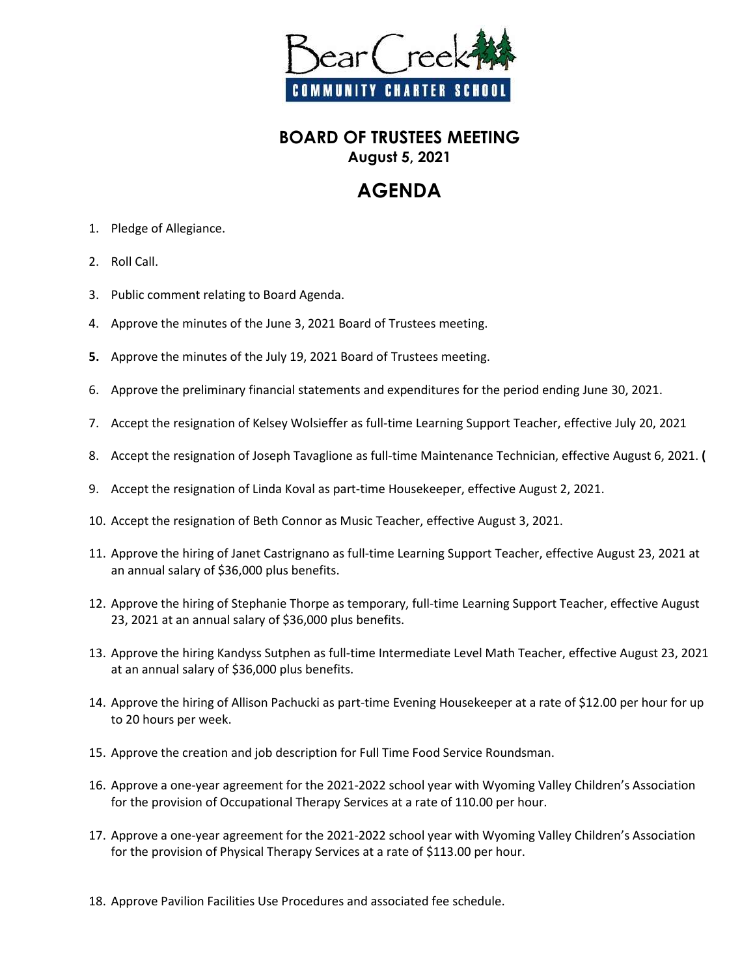

## **BOARD OF TRUSTEES MEETING August 5, 2021**

## **AGENDA**

- 1. Pledge of Allegiance.
- 2. Roll Call.
- 3. Public comment relating to Board Agenda.
- 4. Approve the minutes of the June 3, 2021 Board of Trustees meeting.
- **5.** Approve the minutes of the July 19, 2021 Board of Trustees meeting.
- 6. Approve the preliminary financial statements and expenditures for the period ending June 30, 2021.
- 7. Accept the resignation of Kelsey Wolsieffer as full-time Learning Support Teacher, effective July 20, 2021
- 8. Accept the resignation of Joseph Tavaglione as full-time Maintenance Technician, effective August 6, 2021. **(**
- 9. Accept the resignation of Linda Koval as part-time Housekeeper, effective August 2, 2021.
- 10. Accept the resignation of Beth Connor as Music Teacher, effective August 3, 2021.
- 11. Approve the hiring of Janet Castrignano as full-time Learning Support Teacher, effective August 23, 2021 at an annual salary of \$36,000 plus benefits.
- 12. Approve the hiring of Stephanie Thorpe as temporary, full-time Learning Support Teacher, effective August 23, 2021 at an annual salary of \$36,000 plus benefits.
- 13. Approve the hiring Kandyss Sutphen as full-time Intermediate Level Math Teacher, effective August 23, 2021 at an annual salary of \$36,000 plus benefits.
- 14. Approve the hiring of Allison Pachucki as part-time Evening Housekeeper at a rate of \$12.00 per hour for up to 20 hours per week.
- 15. Approve the creation and job description for Full Time Food Service Roundsman.
- 16. Approve a one-year agreement for the 2021-2022 school year with Wyoming Valley Children's Association for the provision of Occupational Therapy Services at a rate of 110.00 per hour.
- 17. Approve a one-year agreement for the 2021-2022 school year with Wyoming Valley Children's Association for the provision of Physical Therapy Services at a rate of \$113.00 per hour.
- 18. Approve Pavilion Facilities Use Procedures and associated fee schedule.